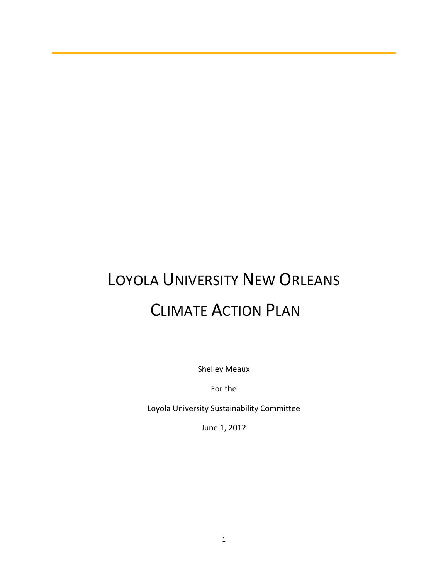# LOYOLA UNIVERSITY NEW ORLEANS CLIMATE ACTION PLAN

Shelley Meaux

For the

Loyola University Sustainability Committee

June 1, 2012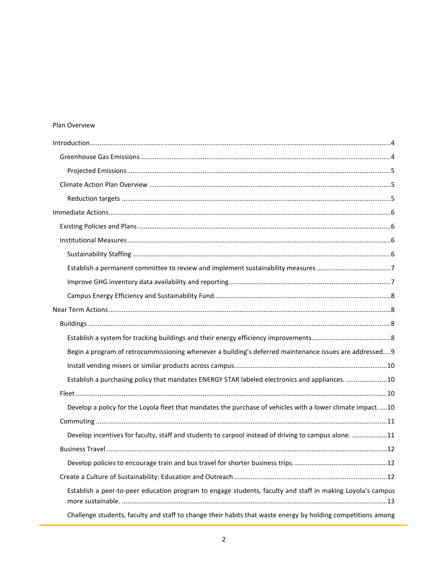## Plan Overview

| Begin a program of retrocommissioning whenever a building's deferred maintenance issues are addressed9       |
|--------------------------------------------------------------------------------------------------------------|
|                                                                                                              |
| Establish a purchasing policy that mandates ENERGY STAR labeled electronics and appliances. 10               |
|                                                                                                              |
| Develop a policy for the Loyola fleet that mandates the purchase of vehicles with a lower climate impact10   |
|                                                                                                              |
| Develop incentives for faculty, staff and students to carpool instead of driving to campus alone. 11         |
|                                                                                                              |
|                                                                                                              |
|                                                                                                              |
| Establish a peer-to-peer education program to engage students, faculty and staff in making Loyola's campus   |
| Challenge students, faculty and staff to change their habits that waste energy by holding competitions among |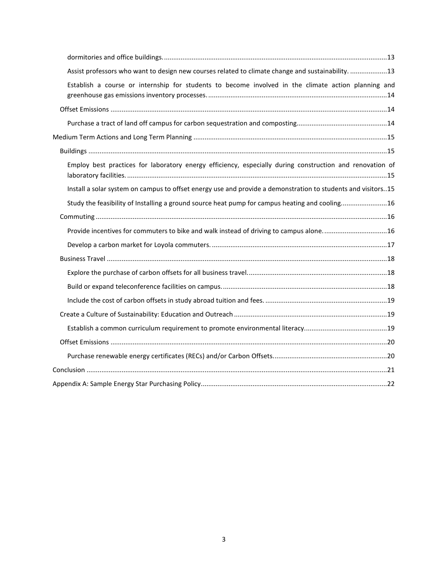| Assist professors who want to design new courses related to climate change and sustainability. 13            |
|--------------------------------------------------------------------------------------------------------------|
| Establish a course or internship for students to become involved in the climate action planning and          |
|                                                                                                              |
|                                                                                                              |
|                                                                                                              |
|                                                                                                              |
| Employ best practices for laboratory energy efficiency, especially during construction and renovation of     |
| Install a solar system on campus to offset energy use and provide a demonstration to students and visitors15 |
| Study the feasibility of Installing a ground source heat pump for campus heating and cooling16               |
|                                                                                                              |
| Provide incentives for commuters to bike and walk instead of driving to campus alone16                       |
|                                                                                                              |
|                                                                                                              |
|                                                                                                              |
|                                                                                                              |
|                                                                                                              |
|                                                                                                              |
|                                                                                                              |
|                                                                                                              |
|                                                                                                              |
|                                                                                                              |
|                                                                                                              |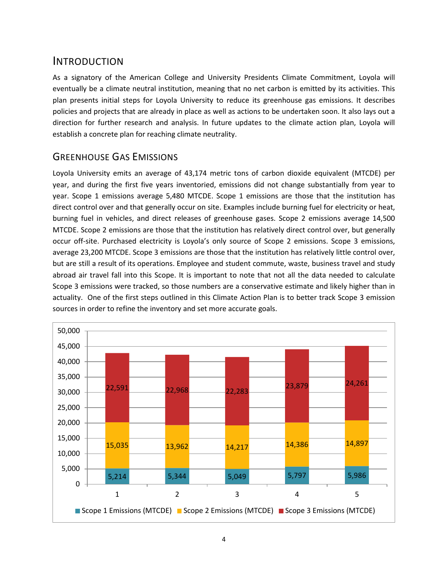# <span id="page-3-0"></span>INTRODUCTION

As a signatory of the American College and University Presidents Climate Commitment, Loyola will eventually be a climate neutral institution, meaning that no net carbon is emitted by its activities. This plan presents initial steps for Loyola University to reduce its greenhouse gas emissions. It describes policies and projects that are already in place as well as actions to be undertaken soon. It also lays out a direction for further research and analysis. In future updates to the climate action plan, Loyola will establish a concrete plan for reaching climate neutrality.

## <span id="page-3-1"></span>GREENHOUSE GAS EMISSIONS

Loyola University emits an average of 43,174 metric tons of carbon dioxide equivalent (MTCDE) per year, and during the first five years inventoried, emissions did not change substantially from year to year. Scope 1 emissions average 5,480 MTCDE. Scope 1 emissions are those that the institution has direct control over and that generally occur on site. Examples include burning fuel for electricity or heat, burning fuel in vehicles, and direct releases of greenhouse gases. Scope 2 emissions average 14,500 MTCDE. Scope 2 emissions are those that the institution has relatively direct control over, but generally occur off-site. Purchased electricity is Loyola's only source of Scope 2 emissions. Scope 3 emissions, average 23,200 MTCDE. Scope 3 emissions are those that the institution has relatively little control over, but are still a result of its operations. Employee and student commute, waste, business travel and study abroad air travel fall into this Scope. It is important to note that not all the data needed to calculate Scope 3 emissions were tracked, so those numbers are a conservative estimate and likely higher than in actuality. One of the first steps outlined in this Climate Action Plan is to better track Scope 3 emission sources in order to refine the inventory and set more accurate goals.

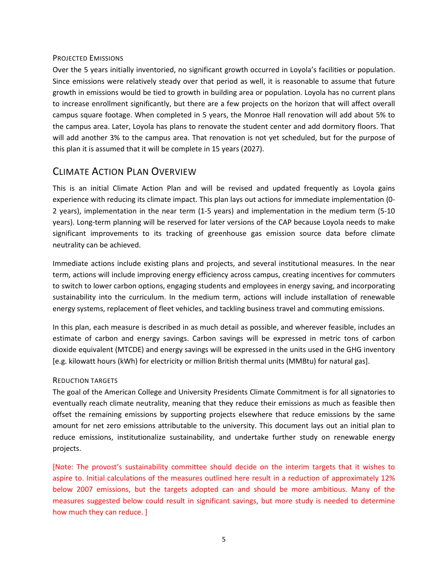#### <span id="page-4-0"></span>PROJECTED EMISSIONS

Over the 5 years initially inventoried, no significant growth occurred in Loyola's facilities or population. Since emissions were relatively steady over that period as well, it is reasonable to assume that future growth in emissions would be tied to growth in building area or population. Loyola has no current plans to increase enrollment significantly, but there are a few projects on the horizon that will affect overall campus square footage. When completed in 5 years, the Monroe Hall renovation will add about 5% to the campus area. Later, Loyola has plans to renovate the student center and add dormitory floors. That will add another 3% to the campus area. That renovation is not yet scheduled, but for the purpose of this plan it is assumed that it will be complete in 15 years (2027).

## <span id="page-4-1"></span>CLIMATE ACTION PLAN OVERVIEW

This is an initial Climate Action Plan and will be revised and updated frequently as Loyola gains experience with reducing its climate impact. This plan lays out actions for immediate implementation (0- 2 years), implementation in the near term (1-5 years) and implementation in the medium term (5-10 years). Long-term planning will be reserved for later versions of the CAP because Loyola needs to make significant improvements to its tracking of greenhouse gas emission source data before climate neutrality can be achieved.

Immediate actions include existing plans and projects, and several institutional measures. In the near term, actions will include improving energy efficiency across campus, creating incentives for commuters to switch to lower carbon options, engaging students and employees in energy saving, and incorporating sustainability into the curriculum. In the medium term, actions will include installation of renewable energy systems, replacement of fleet vehicles, and tackling business travel and commuting emissions.

In this plan, each measure is described in as much detail as possible, and wherever feasible, includes an estimate of carbon and energy savings. Carbon savings will be expressed in metric tons of carbon dioxide equivalent (MTCDE) and energy savings will be expressed in the units used in the GHG inventory [e.g. kilowatt hours (kWh) for electricity or million British thermal units (MMBtu) for natural gas].

## <span id="page-4-2"></span>REDUCTION TARGETS

The goal of the American College and University Presidents Climate Commitment is for all signatories to eventually reach climate neutrality, meaning that they reduce their emissions as much as feasible then offset the remaining emissions by supporting projects elsewhere that reduce emissions by the same amount for net zero emissions attributable to the university. This document lays out an initial plan to reduce emissions, institutionalize sustainability, and undertake further study on renewable energy projects.

[Note: The provost's sustainability committee should decide on the interim targets that it wishes to aspire to. Initial calculations of the measures outlined here result in a reduction of approximately 12% below 2007 emissions, but the targets adopted can and should be more ambitious. Many of the measures suggested below could result in significant savings, but more study is needed to determine how much they can reduce. ]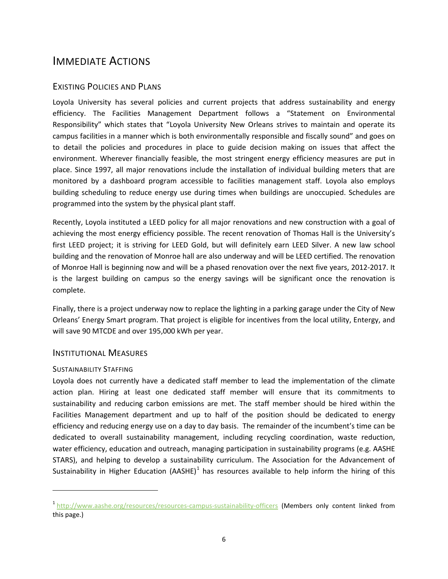# <span id="page-5-0"></span>IMMEDIATE ACTIONS

## <span id="page-5-1"></span>EXISTING POLICIES AND PLANS

Loyola University has several policies and current projects that address sustainability and energy efficiency. The Facilities Management Department follows a "Statement on Environmental Responsibility" which states that "Loyola University New Orleans strives to maintain and operate its campus facilities in a manner which is both environmentally responsible and fiscally sound" and goes on to detail the policies and procedures in place to guide decision making on issues that affect the environment. Wherever financially feasible, the most stringent energy efficiency measures are put in place. Since 1997, all major renovations include the installation of individual building meters that are monitored by a dashboard program accessible to facilities management staff. Loyola also employs building scheduling to reduce energy use during times when buildings are unoccupied. Schedules are programmed into the system by the physical plant staff.

Recently, Loyola instituted a LEED policy for all major renovations and new construction with a goal of achieving the most energy efficiency possible. The recent renovation of Thomas Hall is the University's first LEED project; it is striving for LEED Gold, but will definitely earn LEED Silver. A new law school building and the renovation of Monroe hall are also underway and will be LEED certified. The renovation of Monroe Hall is beginning now and will be a phased renovation over the next five years, 2012-2017. It is the largest building on campus so the energy savings will be significant once the renovation is complete.

Finally, there is a project underway now to replace the lighting in a parking garage under the City of New Orleans' Energy Smart program. That project is eligible for incentives from the local utility, Entergy, and will save 90 MTCDE and over 195,000 kWh per year.

## <span id="page-5-2"></span>INSTITUTIONAL MEASURES

## <span id="page-5-3"></span>SUSTAINABILITY STAFFING

 $\overline{a}$ 

Loyola does not currently have a dedicated staff member to lead the implementation of the climate action plan. Hiring at least one dedicated staff member will ensure that its commitments to sustainability and reducing carbon emissions are met. The staff member should be hired within the Facilities Management department and up to half of the position should be dedicated to energy efficiency and reducing energy use on a day to day basis. The remainder of the incumbent's time can be dedicated to overall sustainability management, including recycling coordination, waste reduction, water efficiency, education and outreach, managing participation in sustainability programs (e.g. AASHE STARS), and helping to develop a sustainability curriculum. The Association for the Advancement of Sustainability in Higher Education (AASHE)<sup>[1](#page-5-4)</sup> has resources available to help inform the hiring of this

<span id="page-5-4"></span><sup>&</sup>lt;sup>1</sup> <http://www.aashe.org/resources/resources-campus-sustainability-officers> (Members only content linked from this page.)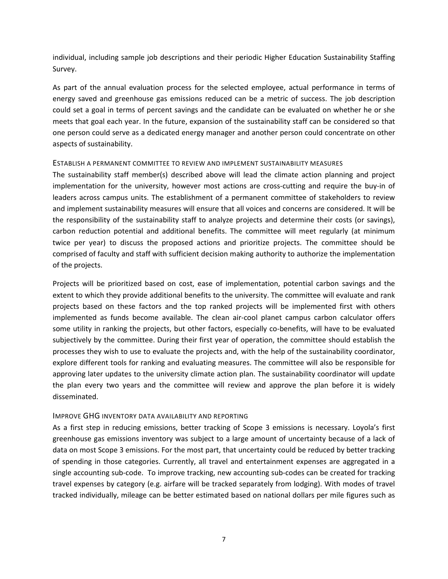individual, including sample job descriptions and their periodic Higher Education Sustainability Staffing Survey.

As part of the annual evaluation process for the selected employee, actual performance in terms of energy saved and greenhouse gas emissions reduced can be a metric of success. The job description could set a goal in terms of percent savings and the candidate can be evaluated on whether he or she meets that goal each year. In the future, expansion of the sustainability staff can be considered so that one person could serve as a dedicated energy manager and another person could concentrate on other aspects of sustainability.

#### <span id="page-6-0"></span>ESTABLISH A PERMANENT COMMITTEE TO REVIEW AND IMPLEMENT SUSTAINABILITY MEASURES

The sustainability staff member(s) described above will lead the climate action planning and project implementation for the university, however most actions are cross-cutting and require the buy-in of leaders across campus units. The establishment of a permanent committee of stakeholders to review and implement sustainability measures will ensure that all voices and concerns are considered. It will be the responsibility of the sustainability staff to analyze projects and determine their costs (or savings), carbon reduction potential and additional benefits. The committee will meet regularly (at minimum twice per year) to discuss the proposed actions and prioritize projects. The committee should be comprised of faculty and staff with sufficient decision making authority to authorize the implementation of the projects.

Projects will be prioritized based on cost, ease of implementation, potential carbon savings and the extent to which they provide additional benefits to the university. The committee will evaluate and rank projects based on these factors and the top ranked projects will be implemented first with others implemented as funds become available. The clean air-cool planet campus carbon calculator offers some utility in ranking the projects, but other factors, especially co-benefits, will have to be evaluated subjectively by the committee. During their first year of operation, the committee should establish the processes they wish to use to evaluate the projects and, with the help of the sustainability coordinator, explore different tools for ranking and evaluating measures. The committee will also be responsible for approving later updates to the university climate action plan. The sustainability coordinator will update the plan every two years and the committee will review and approve the plan before it is widely disseminated.

## <span id="page-6-1"></span>IMPROVE GHG INVENTORY DATA AVAILABILITY AND REPORTING

As a first step in reducing emissions, better tracking of Scope 3 emissions is necessary. Loyola's first greenhouse gas emissions inventory was subject to a large amount of uncertainty because of a lack of data on most Scope 3 emissions. For the most part, that uncertainty could be reduced by better tracking of spending in those categories. Currently, all travel and entertainment expenses are aggregated in a single accounting sub-code. To improve tracking, new accounting sub-codes can be created for tracking travel expenses by category (e.g. airfare will be tracked separately from lodging). With modes of travel tracked individually, mileage can be better estimated based on national dollars per mile figures such as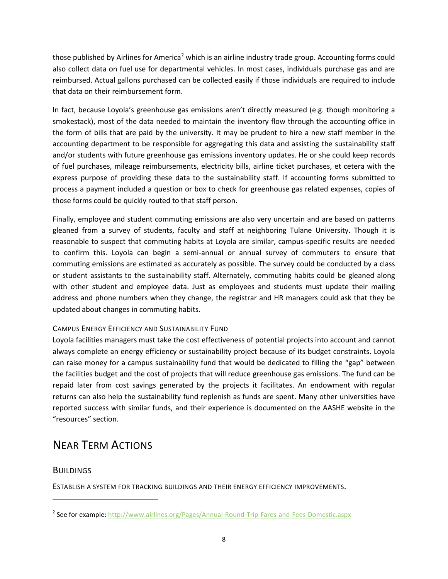those published by Airlines for America<sup>[2](#page-7-4)</sup> which is an airline industry trade group. Accounting forms could also collect data on fuel use for departmental vehicles. In most cases, individuals purchase gas and are reimbursed. Actual gallons purchased can be collected easily if those individuals are required to include that data on their reimbursement form.

In fact, because Loyola's greenhouse gas emissions aren't directly measured (e.g. though monitoring a smokestack), most of the data needed to maintain the inventory flow through the accounting office in the form of bills that are paid by the university. It may be prudent to hire a new staff member in the accounting department to be responsible for aggregating this data and assisting the sustainability staff and/or students with future greenhouse gas emissions inventory updates. He or she could keep records of fuel purchases, mileage reimbursements, electricity bills, airline ticket purchases, et cetera with the express purpose of providing these data to the sustainability staff. If accounting forms submitted to process a payment included a question or box to check for greenhouse gas related expenses, copies of those forms could be quickly routed to that staff person.

Finally, employee and student commuting emissions are also very uncertain and are based on patterns gleaned from a survey of students, faculty and staff at neighboring Tulane University. Though it is reasonable to suspect that commuting habits at Loyola are similar, campus-specific results are needed to confirm this. Loyola can begin a semi-annual or annual survey of commuters to ensure that commuting emissions are estimated as accurately as possible. The survey could be conducted by a class or student assistants to the sustainability staff. Alternately, commuting habits could be gleaned along with other student and employee data. Just as employees and students must update their mailing address and phone numbers when they change, the registrar and HR managers could ask that they be updated about changes in commuting habits.

## <span id="page-7-0"></span>CAMPUS ENERGY EFFICIENCY AND SUSTAINABILITY FUND

Loyola facilities managers must take the cost effectiveness of potential projects into account and cannot always complete an energy efficiency or sustainability project because of its budget constraints. Loyola can raise money for a campus sustainability fund that would be dedicated to filling the "gap" between the facilities budget and the cost of projects that will reduce greenhouse gas emissions. The fund can be repaid later from cost savings generated by the projects it facilitates. An endowment with regular returns can also help the sustainability fund replenish as funds are spent. Many other universities have reported success with similar funds, and their experience is documented on the AASHE website in the "resources" section.

# <span id="page-7-1"></span>NEAR TERM ACTIONS

## <span id="page-7-2"></span>**BUILDINGS**

 $\overline{a}$ 

<span id="page-7-3"></span>ESTABLISH A SYSTEM FOR TRACKING BUILDINGS AND THEIR ENERGY EFFICIENCY IMPROVEMENTS.

<span id="page-7-4"></span><sup>&</sup>lt;sup>2</sup> See for example:<http://www.airlines.org/Pages/Annual-Round-Trip-Fares-and-Fees-Domestic.aspx>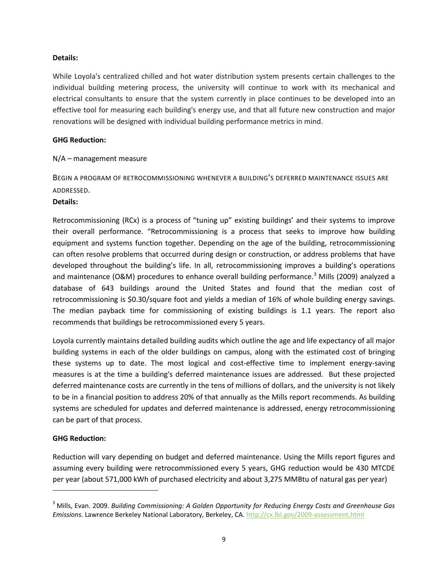## **Details:**

While Loyola's centralized chilled and hot water distribution system presents certain challenges to the individual building metering process, the university will continue to work with its mechanical and electrical consultants to ensure that the system currently in place continues to be developed into an effective tool for measuring each building's energy use, and that all future new construction and major renovations will be designed with individual building performance metrics in mind.

#### **GHG Reduction:**

## N/A – management measure

<span id="page-8-0"></span>BEGIN A PROGRAM OF RETROCOMMISSIONING WHENEVER A BUILDING'S DEFERRED MAINTENANCE ISSUES ARE ADDRESSED.

#### **Details:**

Retrocommissioning (RCx) is a process of "tuning up" existing buildings' and their systems to improve their overall performance. "Retrocommissioning is a process that seeks to improve how building equipment and systems function together. Depending on the age of the building, retrocommissioning can often resolve problems that occurred during design or construction, or address problems that have developed throughout the building's life. In all, retrocommissioning improves a building's operations and maintenance (O&M) procedures to enhance overall building performance.<sup>[3](#page-8-1)</sup> Mills (2009) analyzed a database of 643 buildings around the United States and found that the median cost of retrocommissioning is \$0.30/square foot and yields a median of 16% of whole building energy savings. The median payback time for commissioning of existing buildings is 1.1 years. The report also recommends that buildings be retrocommissioned every 5 years.

Loyola currently maintains detailed building audits which outline the age and life expectancy of all major building systems in each of the older buildings on campus, along with the estimated cost of bringing these systems up to date. The most logical and cost-effective time to implement energy-saving measures is at the time a building's deferred maintenance issues are addressed. But these projected deferred maintenance costs are currently in the tens of millions of dollars, and the university is not likely to be in a financial position to address 20% of that annually as the Mills report recommends. As building systems are scheduled for updates and deferred maintenance is addressed, energy retrocommissioning can be part of that process.

## **GHG Reduction:**

 $\overline{a}$ 

Reduction will vary depending on budget and deferred maintenance. Using the Mills report figures and assuming every building were retrocommissioned every 5 years, GHG reduction would be 430 MTCDE per year (about 571,000 kWh of purchased electricity and about 3,275 MMBtu of natural gas per year)

<span id="page-8-1"></span><sup>3</sup> Mills, Evan. 2009. *Building Commissioning: A Golden Opportunity for Reducing Energy Costs and Greenhouse Gas Emissions.* Lawrence Berkeley National Laboratory, Berkeley, CA.<http://cx.lbl.gov/2009-assessment.html>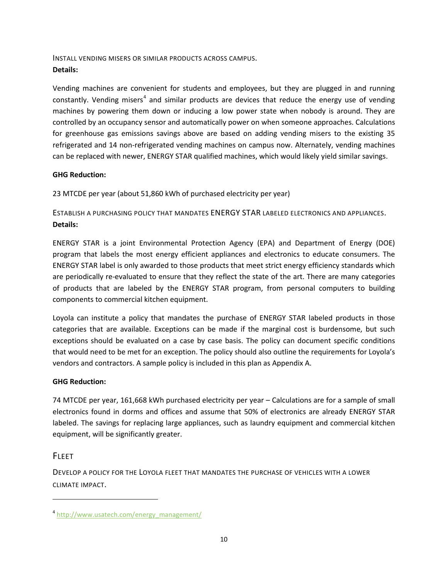<span id="page-9-0"></span>INSTALL VENDING MISERS OR SIMILAR PRODUCTS ACROSS CAMPUS. **Details:**

Vending machines are convenient for students and employees, but they are plugged in and running constantly. Vending misers<sup>[4](#page-9-4)</sup> and similar products are devices that reduce the energy use of vending machines by powering them down or inducing a low power state when nobody is around. They are controlled by an occupancy sensor and automatically power on when someone approaches. Calculations for greenhouse gas emissions savings above are based on adding vending misers to the existing 35 refrigerated and 14 non-refrigerated vending machines on campus now. Alternately, vending machines can be replaced with newer, ENERGY STAR qualified machines, which would likely yield similar savings.

## **GHG Reduction:**

23 MTCDE per year (about 51,860 kWh of purchased electricity per year)

<span id="page-9-1"></span>ESTABLISH A PURCHASING POLICY THAT MANDATES ENERGY STAR LABELED ELECTRONICS AND APPLIANCES. **Details:** 

ENERGY STAR is a joint Environmental Protection Agency (EPA) and Department of Energy (DOE) program that labels the most energy efficient appliances and electronics to educate consumers. The ENERGY STAR label is only awarded to those products that meet strict energy efficiency standards which are periodically re-evaluated to ensure that they reflect the state of the art. There are many categories of products that are labeled by the ENERGY STAR program, from personal computers to building components to commercial kitchen equipment.

Loyola can institute a policy that mandates the purchase of ENERGY STAR labeled products in those categories that are available. Exceptions can be made if the marginal cost is burdensome, but such exceptions should be evaluated on a case by case basis. The policy can document specific conditions that would need to be met for an exception. The policy should also outline the requirements for Loyola's vendors and contractors. A sample policy is included in this plan as Appendix A.

## **GHG Reduction:**

74 MTCDE per year, 161,668 kWh purchased electricity per year – Calculations are for a sample of small electronics found in dorms and offices and assume that 50% of electronics are already ENERGY STAR labeled. The savings for replacing large appliances, such as laundry equipment and commercial kitchen equipment, will be significantly greater.

## <span id="page-9-2"></span>**FLEET**

 $\overline{a}$ 

<span id="page-9-3"></span>DEVELOP A POLICY FOR THE LOYOLA FLEET THAT MANDATES THE PURCHASE OF VEHICLES WITH A LOWER CLIMATE IMPACT.

<span id="page-9-4"></span><sup>&</sup>lt;sup>4</sup> [http://www.usatech.com/energy\\_management/](http://www.usatech.com/energy_management/)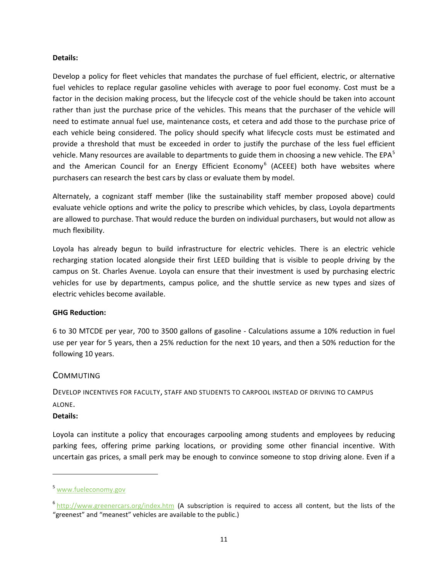#### **Details:**

Develop a policy for fleet vehicles that mandates the purchase of fuel efficient, electric, or alternative fuel vehicles to replace regular gasoline vehicles with average to poor fuel economy. Cost must be a factor in the decision making process, but the lifecycle cost of the vehicle should be taken into account rather than just the purchase price of the vehicles. This means that the purchaser of the vehicle will need to estimate annual fuel use, maintenance costs, et cetera and add those to the purchase price of each vehicle being considered. The policy should specify what lifecycle costs must be estimated and provide a threshold that must be exceeded in order to justify the purchase of the less fuel efficient vehicle. Many resources are available to departments to guide them in choosing a new vehicle. The EPA $^5$  $^5$ and the American Council for an Energy Efficient Economy<sup>[6](#page-10-3)</sup> (ACEEE) both have websites where purchasers can research the best cars by class or evaluate them by model.

Alternately, a cognizant staff member (like the sustainability staff member proposed above) could evaluate vehicle options and write the policy to prescribe which vehicles, by class, Loyola departments are allowed to purchase. That would reduce the burden on individual purchasers, but would not allow as much flexibility.

Loyola has already begun to build infrastructure for electric vehicles. There is an electric vehicle recharging station located alongside their first LEED building that is visible to people driving by the campus on St. Charles Avenue. Loyola can ensure that their investment is used by purchasing electric vehicles for use by departments, campus police, and the shuttle service as new types and sizes of electric vehicles become available.

## **GHG Reduction:**

6 to 30 MTCDE per year, 700 to 3500 gallons of gasoline - Calculations assume a 10% reduction in fuel use per year for 5 years, then a 25% reduction for the next 10 years, and then a 50% reduction for the following 10 years.

## <span id="page-10-0"></span>**COMMUTING**

<span id="page-10-1"></span>DEVELOP INCENTIVES FOR FACULTY, STAFF AND STUDENTS TO CARPOOL INSTEAD OF DRIVING TO CAMPUS ALONE.

## **Details:**

 $\overline{a}$ 

Loyola can institute a policy that encourages carpooling among students and employees by reducing parking fees, offering prime parking locations, or providing some other financial incentive. With uncertain gas prices, a small perk may be enough to convince someone to stop driving alone. Even if a

<span id="page-10-2"></span><sup>5</sup> [www.fueleconomy.gov](http://www.fueleconomy.gov/)

<span id="page-10-3"></span> $6$  <http://www.greenercars.org/index.htm> (A subscription is required to access all content, but the lists of the "greenest" and "meanest" vehicles are available to the public.)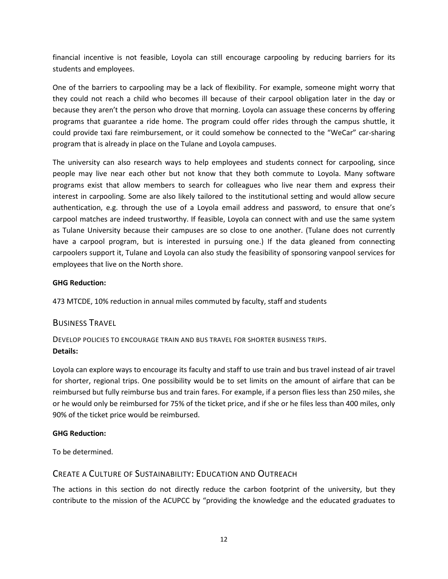financial incentive is not feasible, Loyola can still encourage carpooling by reducing barriers for its students and employees.

One of the barriers to carpooling may be a lack of flexibility. For example, someone might worry that they could not reach a child who becomes ill because of their carpool obligation later in the day or because they aren't the person who drove that morning. Loyola can assuage these concerns by offering programs that guarantee a ride home. The program could offer rides through the campus shuttle, it could provide taxi fare reimbursement, or it could somehow be connected to the "WeCar" car-sharing program that is already in place on the Tulane and Loyola campuses.

The university can also research ways to help employees and students connect for carpooling, since people may live near each other but not know that they both commute to Loyola. Many software programs exist that allow members to search for colleagues who live near them and express their interest in carpooling. Some are also likely tailored to the institutional setting and would allow secure authentication, e.g. through the use of a Loyola email address and password, to ensure that one's carpool matches are indeed trustworthy. If feasible, Loyola can connect with and use the same system as Tulane University because their campuses are so close to one another. (Tulane does not currently have a carpool program, but is interested in pursuing one.) If the data gleaned from connecting carpoolers support it, Tulane and Loyola can also study the feasibility of sponsoring vanpool services for employees that live on the North shore.

## **GHG Reduction:**

473 MTCDE, 10% reduction in annual miles commuted by faculty, staff and students

## <span id="page-11-0"></span>BUSINESS TRAVEL

<span id="page-11-1"></span>DEVELOP POLICIES TO ENCOURAGE TRAIN AND BUS TRAVEL FOR SHORTER BUSINESS TRIPS. **Details:** 

Loyola can explore ways to encourage its faculty and staff to use train and bus travel instead of air travel for shorter, regional trips. One possibility would be to set limits on the amount of airfare that can be reimbursed but fully reimburse bus and train fares. For example, if a person flies less than 250 miles, she or he would only be reimbursed for 75% of the ticket price, and if she or he files less than 400 miles, only 90% of the ticket price would be reimbursed.

## **GHG Reduction:**

To be determined.

## <span id="page-11-2"></span>CREATE A CULTURE OF SUSTAINABILITY: EDUCATION AND OUTREACH

The actions in this section do not directly reduce the carbon footprint of the university, but they contribute to the mission of the ACUPCC by "providing the knowledge and the educated graduates to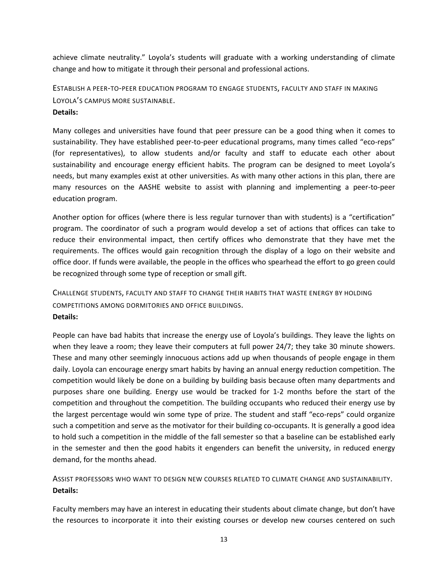achieve climate neutrality." Loyola's students will graduate with a working understanding of climate change and how to mitigate it through their personal and professional actions.

<span id="page-12-0"></span>ESTABLISH A PEER-TO-PEER EDUCATION PROGRAM TO ENGAGE STUDENTS, FACULTY AND STAFF IN MAKING LOYOLA'S CAMPUS MORE SUSTAINABLE. **Details:**

Many colleges and universities have found that peer pressure can be a good thing when it comes to sustainability. They have established peer-to-peer educational programs, many times called "eco-reps" (for representatives), to allow students and/or faculty and staff to educate each other about sustainability and encourage energy efficient habits. The program can be designed to meet Loyola's needs, but many examples exist at other universities. As with many other actions in this plan, there are many resources on the AASHE website to assist with planning and implementing a peer-to-peer education program.

Another option for offices (where there is less regular turnover than with students) is a "certification" program. The coordinator of such a program would develop a set of actions that offices can take to reduce their environmental impact, then certify offices who demonstrate that they have met the requirements. The offices would gain recognition through the display of a logo on their website and office door. If funds were available, the people in the offices who spearhead the effort to go green could be recognized through some type of reception or small gift.

<span id="page-12-1"></span>CHALLENGE STUDENTS, FACULTY AND STAFF TO CHANGE THEIR HABITS THAT WASTE ENERGY BY HOLDING COMPETITIONS AMONG DORMITORIES AND OFFICE BUILDINGS. **Details:** 

People can have bad habits that increase the energy use of Loyola's buildings. They leave the lights on when they leave a room; they leave their computers at full power 24/7; they take 30 minute showers. These and many other seemingly innocuous actions add up when thousands of people engage in them daily. Loyola can encourage energy smart habits by having an annual energy reduction competition. The competition would likely be done on a building by building basis because often many departments and purposes share one building. Energy use would be tracked for 1-2 months before the start of the competition and throughout the competition. The building occupants who reduced their energy use by the largest percentage would win some type of prize. The student and staff "eco-reps" could organize such a competition and serve as the motivator for their building co-occupants. It is generally a good idea to hold such a competition in the middle of the fall semester so that a baseline can be established early in the semester and then the good habits it engenders can benefit the university, in reduced energy demand, for the months ahead.

<span id="page-12-2"></span>ASSIST PROFESSORS WHO WANT TO DESIGN NEW COURSES RELATED TO CLIMATE CHANGE AND SUSTAINABILITY. **Details:** 

Faculty members may have an interest in educating their students about climate change, but don't have the resources to incorporate it into their existing courses or develop new courses centered on such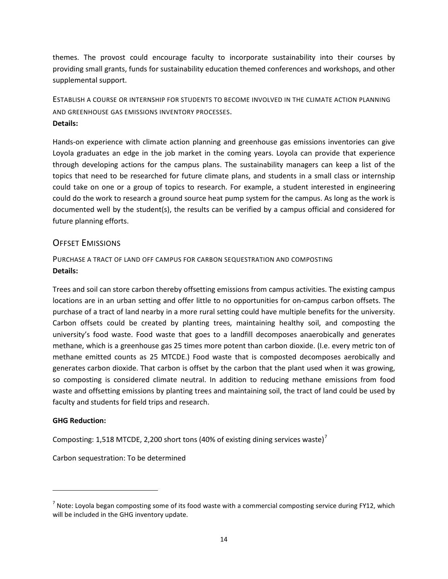themes. The provost could encourage faculty to incorporate sustainability into their courses by providing small grants, funds for sustainability education themed conferences and workshops, and other supplemental support.

<span id="page-13-0"></span>ESTABLISH A COURSE OR INTERNSHIP FOR STUDENTS TO BECOME INVOLVED IN THE CLIMATE ACTION PLANNING AND GREENHOUSE GAS EMISSIONS INVENTORY PROCESSES. **Details:**

Hands-on experience with climate action planning and greenhouse gas emissions inventories can give Loyola graduates an edge in the job market in the coming years. Loyola can provide that experience through developing actions for the campus plans. The sustainability managers can keep a list of the topics that need to be researched for future climate plans, and students in a small class or internship could take on one or a group of topics to research. For example, a student interested in engineering could do the work to research a ground source heat pump system for the campus. As long as the work is documented well by the student(s), the results can be verified by a campus official and considered for future planning efforts.

## <span id="page-13-1"></span>OFFSET EMISSIONS

<span id="page-13-2"></span>PURCHASE A TRACT OF LAND OFF CAMPUS FOR CARBON SEQUESTRATION AND COMPOSTING **Details:**

Trees and soil can store carbon thereby offsetting emissions from campus activities. The existing campus locations are in an urban setting and offer little to no opportunities for on-campus carbon offsets. The purchase of a tract of land nearby in a more rural setting could have multiple benefits for the university. Carbon offsets could be created by planting trees, maintaining healthy soil, and composting the university's food waste. Food waste that goes to a landfill decomposes anaerobically and generates methane, which is a greenhouse gas 25 times more potent than carbon dioxide. (I.e. every metric ton of methane emitted counts as 25 MTCDE.) Food waste that is composted decomposes aerobically and generates carbon dioxide. That carbon is offset by the carbon that the plant used when it was growing, so composting is considered climate neutral. In addition to reducing methane emissions from food waste and offsetting emissions by planting trees and maintaining soil, the tract of land could be used by faculty and students for field trips and research.

## **GHG Reduction:**

 $\overline{a}$ 

Composting: 1,518 MTCDE, 2,200 short tons (40% of existing dining services waste)<sup>[7](#page-13-3)</sup>

Carbon sequestration: To be determined

<span id="page-13-3"></span> $^7$  Note: Loyola began composting some of its food waste with a commercial composting service during FY12, which will be included in the GHG inventory update.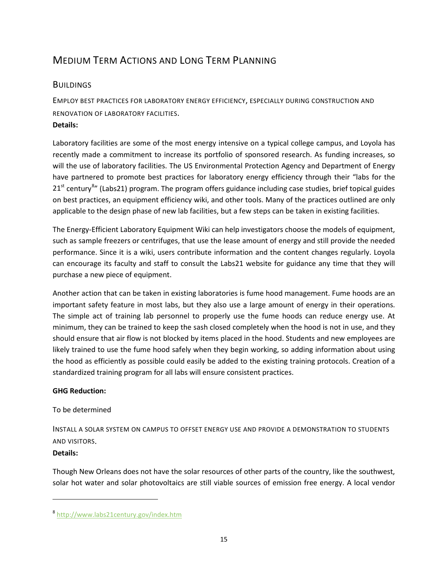# <span id="page-14-0"></span>MEDIUM TERM ACTIONS AND LONG TERM PLANNING

## <span id="page-14-1"></span>**BUILDINGS**

<span id="page-14-2"></span>EMPLOY BEST PRACTICES FOR LABORATORY ENERGY EFFICIENCY, ESPECIALLY DURING CONSTRUCTION AND RENOVATION OF LABORATORY FACILITIES. **Details:** 

Laboratory facilities are some of the most energy intensive on a typical college campus, and Loyola has recently made a commitment to increase its portfolio of sponsored research. As funding increases, so will the use of laboratory facilities. The US Environmental Protection Agency and Department of Energy have partnered to promote best practices for laboratory energy efficiency through their "labs for the 21<sup>st</sup> century<sup>[8](#page-14-4)</sup>" (Labs21) program. The program offers guidance including case studies, brief topical guides on best practices, an equipment efficiency wiki, and other tools. Many of the practices outlined are only applicable to the design phase of new lab facilities, but a few steps can be taken in existing facilities.

The Energy-Efficient Laboratory Equipment Wiki can help investigators choose the models of equipment, such as sample freezers or centrifuges, that use the lease amount of energy and still provide the needed performance. Since it is a wiki, users contribute information and the content changes regularly. Loyola can encourage its faculty and staff to consult the Labs21 website for guidance any time that they will purchase a new piece of equipment.

Another action that can be taken in existing laboratories is fume hood management. Fume hoods are an important safety feature in most labs, but they also use a large amount of energy in their operations. The simple act of training lab personnel to properly use the fume hoods can reduce energy use. At minimum, they can be trained to keep the sash closed completely when the hood is not in use, and they should ensure that air flow is not blocked by items placed in the hood. Students and new employees are likely trained to use the fume hood safely when they begin working, so adding information about using the hood as efficiently as possible could easily be added to the existing training protocols. Creation of a standardized training program for all labs will ensure consistent practices.

## **GHG Reduction:**

## To be determined

<span id="page-14-3"></span>INSTALL A SOLAR SYSTEM ON CAMPUS TO OFFSET ENERGY USE AND PROVIDE A DEMONSTRATION TO STUDENTS AND VISITORS.

## **Details:**

 $\overline{a}$ 

Though New Orleans does not have the solar resources of other parts of the country, like the southwest, solar hot water and solar photovoltaics are still viable sources of emission free energy. A local vendor

<span id="page-14-4"></span><sup>8</sup> <http://www.labs21century.gov/index.htm>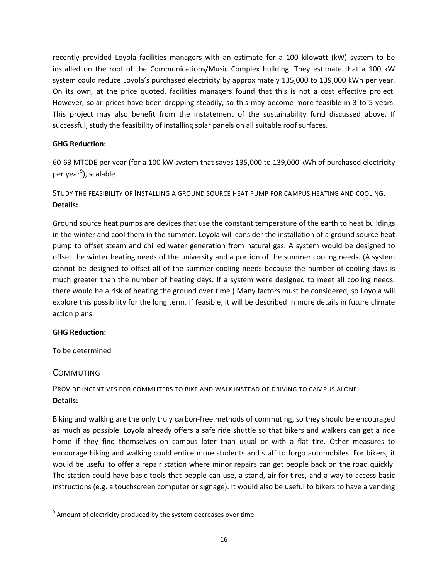recently provided Loyola facilities managers with an estimate for a 100 kilowatt (kW) system to be installed on the roof of the Communications/Music Complex building. They estimate that a 100 kW system could reduce Loyola's purchased electricity by approximately 135,000 to 139,000 kWh per year. On its own, at the price quoted, facilities managers found that this is not a cost effective project. However, solar prices have been dropping steadily, so this may become more feasible in 3 to 5 years. This project may also benefit from the instatement of the sustainability fund discussed above. If successful, study the feasibility of installing solar panels on all suitable roof surfaces.

## **GHG Reduction:**

60-63 MTCDE per year (for a 100 kW system that saves 135,000 to 139,000 kWh of purchased electricity per year<sup>[9](#page-15-3)</sup>), scalable

<span id="page-15-0"></span>STUDY THE FEASIBILITY OF INSTALLING A GROUND SOURCE HEAT PUMP FOR CAMPUS HEATING AND COOLING. **Details:**

Ground source heat pumps are devices that use the constant temperature of the earth to heat buildings in the winter and cool them in the summer. Loyola will consider the installation of a ground source heat pump to offset steam and chilled water generation from natural gas. A system would be designed to offset the winter heating needs of the university and a portion of the summer cooling needs. (A system cannot be designed to offset all of the summer cooling needs because the number of cooling days is much greater than the number of heating days. If a system were designed to meet all cooling needs, there would be a risk of heating the ground over time.) Many factors must be considered, so Loyola will explore this possibility for the long term. If feasible, it will be described in more details in future climate action plans.

## **GHG Reduction:**

To be determined

## <span id="page-15-1"></span>**COMMUTING**

 $\overline{a}$ 

<span id="page-15-2"></span>PROVIDE INCENTIVES FOR COMMUTERS TO BIKE AND WALK INSTEAD OF DRIVING TO CAMPUS ALONE. **Details:**

Biking and walking are the only truly carbon-free methods of commuting, so they should be encouraged as much as possible. Loyola already offers a safe ride shuttle so that bikers and walkers can get a ride home if they find themselves on campus later than usual or with a flat tire. Other measures to encourage biking and walking could entice more students and staff to forgo automobiles. For bikers, it would be useful to offer a repair station where minor repairs can get people back on the road quickly. The station could have basic tools that people can use, a stand, air for tires, and a way to access basic instructions (e.g. a touchscreen computer or signage). It would also be useful to bikers to have a vending

<span id="page-15-3"></span> $9$  Amount of electricity produced by the system decreases over time.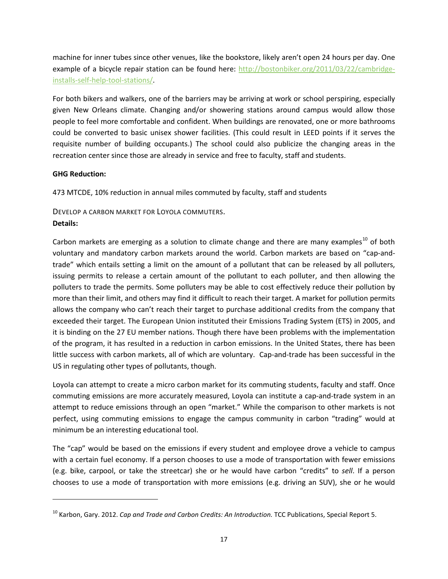machine for inner tubes since other venues, like the bookstore, likely aren't open 24 hours per day. One example of a bicycle repair station can be found here: [http://bostonbiker.org/2011/03/22/cambridge](http://bostonbiker.org/2011/03/22/cambridge-installs-self-help-tool-stations/)[installs-self-help-tool-stations/.](http://bostonbiker.org/2011/03/22/cambridge-installs-self-help-tool-stations/)

For both bikers and walkers, one of the barriers may be arriving at work or school perspiring, especially given New Orleans climate. Changing and/or showering stations around campus would allow those people to feel more comfortable and confident. When buildings are renovated, one or more bathrooms could be converted to basic unisex shower facilities. (This could result in LEED points if it serves the requisite number of building occupants.) The school could also publicize the changing areas in the recreation center since those are already in service and free to faculty, staff and students.

## **GHG Reduction:**

 $\overline{a}$ 

473 MTCDE, 10% reduction in annual miles commuted by faculty, staff and students

## <span id="page-16-0"></span>DEVELOP A CARBON MARKET FOR LOYOLA COMMUTERS. **Details:**

Carbon markets are emerging as a solution to climate change and there are many examples<sup>[10](#page-16-1)</sup> of both voluntary and mandatory carbon markets around the world. Carbon markets are based on "cap-andtrade" which entails setting a limit on the amount of a pollutant that can be released by all polluters, issuing permits to release a certain amount of the pollutant to each polluter, and then allowing the polluters to trade the permits. Some polluters may be able to cost effectively reduce their pollution by more than their limit, and others may find it difficult to reach their target. A market for pollution permits allows the company who can't reach their target to purchase additional credits from the company that exceeded their target. The European Union instituted their Emissions Trading System (ETS) in 2005, and it is binding on the 27 EU member nations. Though there have been problems with the implementation of the program, it has resulted in a reduction in carbon emissions. In the United States, there has been little success with carbon markets, all of which are voluntary. Cap-and-trade has been successful in the US in regulating other types of pollutants, though.

Loyola can attempt to create a micro carbon market for its commuting students, faculty and staff. Once commuting emissions are more accurately measured, Loyola can institute a cap-and-trade system in an attempt to reduce emissions through an open "market." While the comparison to other markets is not perfect, using commuting emissions to engage the campus community in carbon "trading" would at minimum be an interesting educational tool.

The "cap" would be based on the emissions if every student and employee drove a vehicle to campus with a certain fuel economy. If a person chooses to use a mode of transportation with fewer emissions (e.g. bike, carpool, or take the streetcar) she or he would have carbon "credits" to *sell*. If a person chooses to use a mode of transportation with more emissions (e.g. driving an SUV), she or he would

<span id="page-16-1"></span><sup>&</sup>lt;sup>10</sup> Karbon, Gary. 2012. *Cap and Trade and Carbon Credits: An Introduction*. TCC Publications, Special Report 5.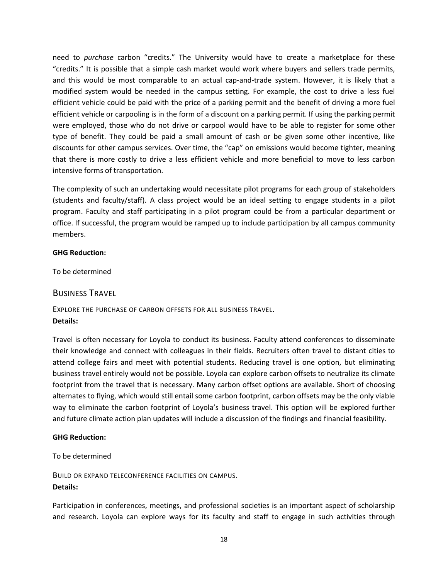need to *purchase* carbon "credits." The University would have to create a marketplace for these "credits." It is possible that a simple cash market would work where buyers and sellers trade permits, and this would be most comparable to an actual cap-and-trade system. However, it is likely that a modified system would be needed in the campus setting. For example, the cost to drive a less fuel efficient vehicle could be paid with the price of a parking permit and the benefit of driving a more fuel efficient vehicle or carpooling is in the form of a discount on a parking permit. If using the parking permit were employed, those who do not drive or carpool would have to be able to register for some other type of benefit. They could be paid a small amount of cash or be given some other incentive, like discounts for other campus services. Over time, the "cap" on emissions would become tighter, meaning that there is more costly to drive a less efficient vehicle and more beneficial to move to less carbon intensive forms of transportation.

The complexity of such an undertaking would necessitate pilot programs for each group of stakeholders (students and faculty/staff). A class project would be an ideal setting to engage students in a pilot program. Faculty and staff participating in a pilot program could be from a particular department or office. If successful, the program would be ramped up to include participation by all campus community members.

## **GHG Reduction:**

To be determined

## <span id="page-17-0"></span>BUSINESS TRAVEL

<span id="page-17-1"></span>EXPLORE THE PURCHASE OF CARBON OFFSETS FOR ALL BUSINESS TRAVEL. **Details:** 

Travel is often necessary for Loyola to conduct its business. Faculty attend conferences to disseminate their knowledge and connect with colleagues in their fields. Recruiters often travel to distant cities to attend college fairs and meet with potential students. Reducing travel is one option, but eliminating business travel entirely would not be possible. Loyola can explore carbon offsets to neutralize its climate footprint from the travel that is necessary. Many carbon offset options are available. Short of choosing alternates to flying, which would still entail some carbon footprint, carbon offsets may be the only viable way to eliminate the carbon footprint of Loyola's business travel. This option will be explored further and future climate action plan updates will include a discussion of the findings and financial feasibility.

## **GHG Reduction:**

To be determined

<span id="page-17-2"></span>BUILD OR EXPAND TELECONFERENCE FACILITIES ON CAMPUS. **Details:** 

Participation in conferences, meetings, and professional societies is an important aspect of scholarship and research. Loyola can explore ways for its faculty and staff to engage in such activities through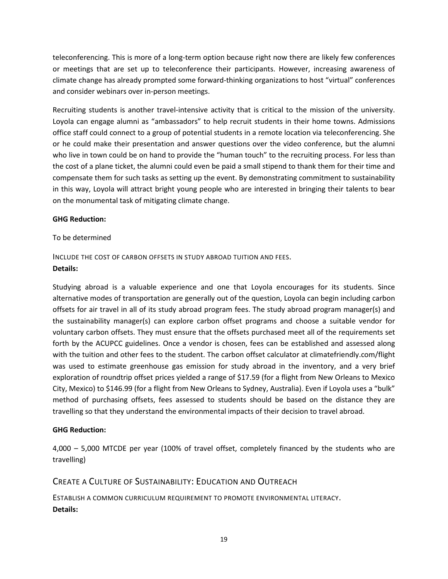teleconferencing. This is more of a long-term option because right now there are likely few conferences or meetings that are set up to teleconference their participants. However, increasing awareness of climate change has already prompted some forward-thinking organizations to host "virtual" conferences and consider webinars over in-person meetings.

Recruiting students is another travel-intensive activity that is critical to the mission of the university. Loyola can engage alumni as "ambassadors" to help recruit students in their home towns. Admissions office staff could connect to a group of potential students in a remote location via teleconferencing. She or he could make their presentation and answer questions over the video conference, but the alumni who live in town could be on hand to provide the "human touch" to the recruiting process. For less than the cost of a plane ticket, the alumni could even be paid a small stipend to thank them for their time and compensate them for such tasks as setting up the event. By demonstrating commitment to sustainability in this way, Loyola will attract bright young people who are interested in bringing their talents to bear on the monumental task of mitigating climate change.

## **GHG Reduction:**

## To be determined

# <span id="page-18-0"></span>INCLUDE THE COST OF CARBON OFFSETS IN STUDY ABROAD TUITION AND FEES.

## **Details:**

Studying abroad is a valuable experience and one that Loyola encourages for its students. Since alternative modes of transportation are generally out of the question, Loyola can begin including carbon offsets for air travel in all of its study abroad program fees. The study abroad program manager(s) and the sustainability manager(s) can explore carbon offset programs and choose a suitable vendor for voluntary carbon offsets. They must ensure that the offsets purchased meet all of the requirements set forth by the ACUPCC guidelines. Once a vendor is chosen, fees can be established and assessed along with the tuition and other fees to the student. The carbon offset calculator at climatefriendly.com/flight was used to estimate greenhouse gas emission for study abroad in the inventory, and a very brief exploration of roundtrip offset prices yielded a range of \$17.59 (for a flight from New Orleans to Mexico City, Mexico) to \$146.99 (for a flight from New Orleans to Sydney, Australia). Even if Loyola uses a "bulk" method of purchasing offsets, fees assessed to students should be based on the distance they are travelling so that they understand the environmental impacts of their decision to travel abroad.

## **GHG Reduction:**

4,000 – 5,000 MTCDE per year (100% of travel offset, completely financed by the students who are travelling)

## <span id="page-18-1"></span>CREATE A CULTURE OF SUSTAINABILITY: EDUCATION AND OUTREACH

<span id="page-18-2"></span>ESTABLISH A COMMON CURRICULUM REQUIREMENT TO PROMOTE ENVIRONMENTAL LITERACY. **Details:**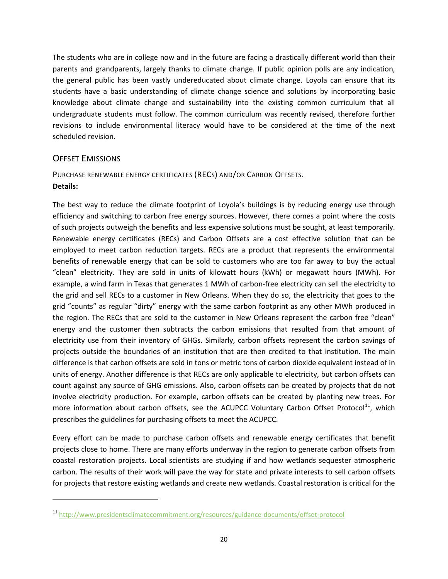The students who are in college now and in the future are facing a drastically different world than their parents and grandparents, largely thanks to climate change. If public opinion polls are any indication, the general public has been vastly undereducated about climate change. Loyola can ensure that its students have a basic understanding of climate change science and solutions by incorporating basic knowledge about climate change and sustainability into the existing common curriculum that all undergraduate students must follow. The common curriculum was recently revised, therefore further revisions to include environmental literacy would have to be considered at the time of the next scheduled revision.

## <span id="page-19-0"></span>OFFSET EMISSIONS

 $\overline{a}$ 

## <span id="page-19-1"></span>PURCHASE RENEWABLE ENERGY CERTIFICATES (RECS) AND/OR CARBON OFFSETS. **Details:**

The best way to reduce the climate footprint of Loyola's buildings is by reducing energy use through efficiency and switching to carbon free energy sources. However, there comes a point where the costs of such projects outweigh the benefits and less expensive solutions must be sought, at least temporarily. Renewable energy certificates (RECs) and Carbon Offsets are a cost effective solution that can be employed to meet carbon reduction targets. RECs are a product that represents the environmental benefits of renewable energy that can be sold to customers who are too far away to buy the actual "clean" electricity. They are sold in units of kilowatt hours (kWh) or megawatt hours (MWh). For example, a wind farm in Texas that generates 1 MWh of carbon-free electricity can sell the electricity to the grid and sell RECs to a customer in New Orleans. When they do so, the electricity that goes to the grid "counts" as regular "dirty" energy with the same carbon footprint as any other MWh produced in the region. The RECs that are sold to the customer in New Orleans represent the carbon free "clean" energy and the customer then subtracts the carbon emissions that resulted from that amount of electricity use from their inventory of GHGs. Similarly, carbon offsets represent the carbon savings of projects outside the boundaries of an institution that are then credited to that institution. The main difference is that carbon offsets are sold in tons or metric tons of carbon dioxide equivalent instead of in units of energy. Another difference is that RECs are only applicable to electricity, but carbon offsets can count against any source of GHG emissions. Also, carbon offsets can be created by projects that do not involve electricity production. For example, carbon offsets can be created by planting new trees. For more information about carbon offsets, see the ACUPCC Voluntary Carbon Offset Protocol<sup>[11](#page-19-2)</sup>, which prescribes the guidelines for purchasing offsets to meet the ACUPCC.

Every effort can be made to purchase carbon offsets and renewable energy certificates that benefit projects close to home. There are many efforts underway in the region to generate carbon offsets from coastal restoration projects. Local scientists are studying if and how wetlands sequester atmospheric carbon. The results of their work will pave the way for state and private interests to sell carbon offsets for projects that restore existing wetlands and create new wetlands. Coastal restoration is critical for the

<span id="page-19-2"></span><sup>11</sup> <http://www.presidentsclimatecommitment.org/resources/guidance-documents/offset-protocol>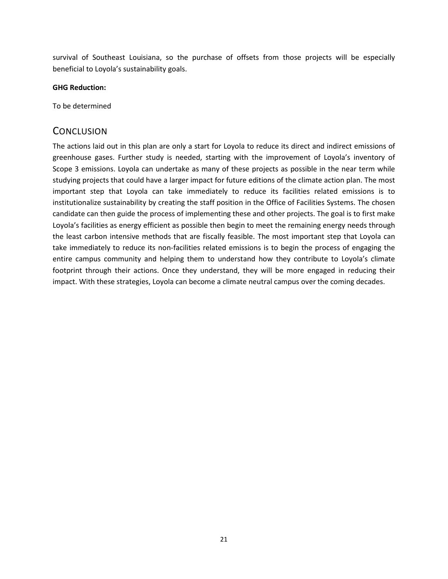survival of Southeast Louisiana, so the purchase of offsets from those projects will be especially beneficial to Loyola's sustainability goals.

## **GHG Reduction:**

To be determined

## <span id="page-20-0"></span>**CONCLUSION**

The actions laid out in this plan are only a start for Loyola to reduce its direct and indirect emissions of greenhouse gases. Further study is needed, starting with the improvement of Loyola's inventory of Scope 3 emissions. Loyola can undertake as many of these projects as possible in the near term while studying projects that could have a larger impact for future editions of the climate action plan. The most important step that Loyola can take immediately to reduce its facilities related emissions is to institutionalize sustainability by creating the staff position in the Office of Facilities Systems. The chosen candidate can then guide the process of implementing these and other projects. The goal is to first make Loyola's facilities as energy efficient as possible then begin to meet the remaining energy needs through the least carbon intensive methods that are fiscally feasible. The most important step that Loyola can take immediately to reduce its non-facilities related emissions is to begin the process of engaging the entire campus community and helping them to understand how they contribute to Loyola's climate footprint through their actions. Once they understand, they will be more engaged in reducing their impact. With these strategies, Loyola can become a climate neutral campus over the coming decades.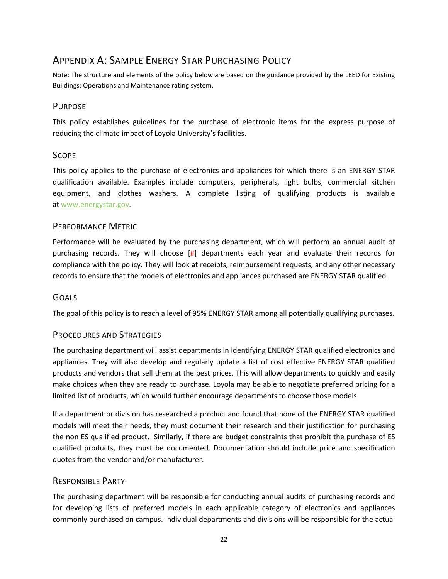# <span id="page-21-0"></span>APPENDIX A: SAMPLE ENERGY STAR PURCHASING POLICY

Note: The structure and elements of the policy below are based on the guidance provided by the LEED for Existing Buildings: Operations and Maintenance rating system.

## PURPOSE

This policy establishes guidelines for the purchase of electronic items for the express purpose of reducing the climate impact of Loyola University's facilities.

## **SCOPE**

This policy applies to the purchase of electronics and appliances for which there is an ENERGY STAR qualification available. Examples include computers, peripherals, light bulbs, commercial kitchen equipment, and clothes washers. A complete listing of qualifying products is available at [www.energystar.gov.](http://www.energystar.gov/)

## PERFORMANCE METRIC

Performance will be evaluated by the purchasing department, which will perform an annual audit of purchasing records. They will choose [#] departments each year and evaluate their records for compliance with the policy. They will look at receipts, reimbursement requests, and any other necessary records to ensure that the models of electronics and appliances purchased are ENERGY STAR qualified.

## **GOALS**

The goal of this policy is to reach a level of 95% ENERGY STAR among all potentially qualifying purchases.

## PROCEDURES AND STRATEGIES

The purchasing department will assist departments in identifying ENERGY STAR qualified electronics and appliances. They will also develop and regularly update a list of cost effective ENERGY STAR qualified products and vendors that sell them at the best prices. This will allow departments to quickly and easily make choices when they are ready to purchase. Loyola may be able to negotiate preferred pricing for a limited list of products, which would further encourage departments to choose those models.

If a department or division has researched a product and found that none of the ENERGY STAR qualified models will meet their needs, they must document their research and their justification for purchasing the non ES qualified product. Similarly, if there are budget constraints that prohibit the purchase of ES qualified products, they must be documented. Documentation should include price and specification quotes from the vendor and/or manufacturer.

## RESPONSIBLE PARTY

The purchasing department will be responsible for conducting annual audits of purchasing records and for developing lists of preferred models in each applicable category of electronics and appliances commonly purchased on campus. Individual departments and divisions will be responsible for the actual